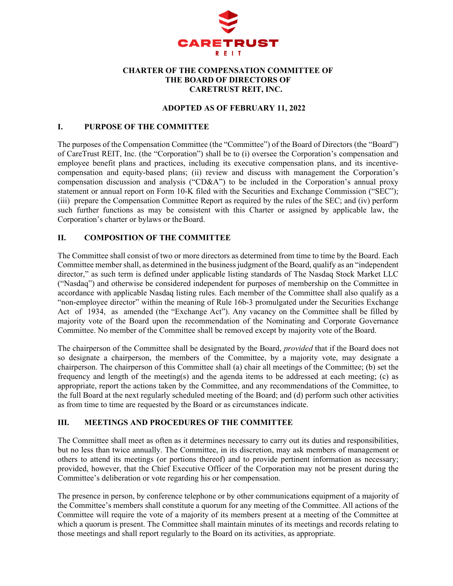

## **CHARTER OF THE COMPENSATION COMMITTEE OF THE BOARD OF DIRECTORS OF CARETRUST REIT, INC.**

#### **ADOPTED AS OF FEBRUARY 11, 2022**

## **I. PURPOSE OF THE COMMITTEE**

The purposes of the Compensation Committee (the "Committee") of the Board of Directors (the "Board") of CareTrust REIT, Inc. (the "Corporation") shall be to (i) oversee the Corporation's compensation and employee benefit plans and practices, including its executive compensation plans, and its incentivecompensation and equity-based plans; (ii) review and discuss with management the Corporation's compensation discussion and analysis ("CD&A") to be included in the Corporation's annual proxy statement or annual report on Form 10-K filed with the Securities and Exchange Commission ("SEC"); (iii) prepare the Compensation Committee Report as required by the rules of the SEC; and (iv) perform such further functions as may be consistent with this Charter or assigned by applicable law, the Corporation's charter or bylaws or the Board.

## **II. COMPOSITION OF THE COMMITTEE**

The Committee shall consist of two or more directors as determined from time to time by the Board. Each Committee member shall, as determined in the business judgment of the Board, qualify as an "independent director," as such term is defined under applicable listing standards of The Nasdaq Stock Market LLC ("Nasdaq") and otherwise be considered independent for purposes of membership on the Committee in accordance with applicable Nasdaq listing rules. Each member of the Committee shall also qualify as a "non-employee director" within the meaning of Rule 16b-3 promulgated under the Securities Exchange Act of 1934, as amended (the "Exchange Act"). Any vacancy on the Committee shall be filled by majority vote of the Board upon the recommendation of the Nominating and Corporate Governance Committee. No member of the Committee shall be removed except by majority vote of the Board.

The chairperson of the Committee shall be designated by the Board, *provided* that if the Board does not so designate a chairperson, the members of the Committee, by a majority vote, may designate a chairperson. The chairperson of this Committee shall (a) chair all meetings of the Committee; (b) set the frequency and length of the meeting(s) and the agenda items to be addressed at each meeting; (c) as appropriate, report the actions taken by the Committee, and any recommendations of the Committee, to the full Board at the next regularly scheduled meeting of the Board; and (d) perform such other activities as from time to time are requested by the Board or as circumstances indicate.

## **III. MEETINGS AND PROCEDURES OF THE COMMITTEE**

The Committee shall meet as often as it determines necessary to carry out its duties and responsibilities, but no less than twice annually. The Committee, in its discretion, may ask members of management or others to attend its meetings (or portions thereof) and to provide pertinent information as necessary; provided, however, that the Chief Executive Officer of the Corporation may not be present during the Committee's deliberation or vote regarding his or her compensation.

The presence in person, by conference telephone or by other communications equipment of a majority of the Committee's members shall constitute a quorum for any meeting of the Committee. All actions of the Committee will require the vote of a majority of its members present at a meeting of the Committee at which a quorum is present. The Committee shall maintain minutes of its meetings and records relating to those meetings and shall report regularly to the Board on its activities, as appropriate.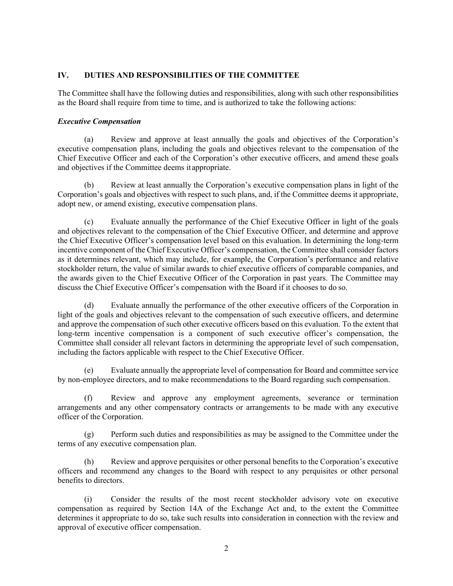## **IV. DUTIES AND RESPONSIBILITIES OF THE COMMITTEE**

The Committee shall have the following duties and responsibilities, along with such other responsibilities as the Board shall require from time to time, and is authorized to take the following actions:

#### *Executive Compensation*

(a) Review and approve at least annually the goals and objectives of the Corporation's executive compensation plans, including the goals and objectives relevant to the compensation of the Chief Executive Officer and each of the Corporation's other executive officers, and amend these goals and objectives if the Committee deems it appropriate.

Review at least annually the Corporation's executive compensation plans in light of the Corporation's goals and objectives with respect to such plans, and, if the Committee deems it appropriate, adopt new, or amend existing, executive compensation plans.

(c) Evaluate annually the performance of the Chief Executive Officer in light of the goals and objectives relevant to the compensation of the Chief Executive Officer, and determine and approve the Chief Executive Officer's compensation level based on this evaluation. In determining the long-term incentive component of the Chief Executive Officer's compensation, the Committee shall consider factors as it determines relevant, which may include, for example, the Corporation's performance and relative stockholder return, the value of similar awards to chief executive officers of comparable companies, and the awards given to the Chief Executive Officer of the Corporation in past years. The Committee may discuss the Chief Executive Officer's compensation with the Board if it chooses to do so.

(d) Evaluate annually the performance of the other executive officers of the Corporation in light of the goals and objectives relevant to the compensation of such executive officers, and determine and approve the compensation of such other executive officers based on this evaluation. To the extent that long-term incentive compensation is a component of such executive officer's compensation, the Committee shall consider all relevant factors in determining the appropriate level of such compensation, including the factors applicable with respect to the Chief Executive Officer.

(e) Evaluate annually the appropriate level of compensation for Board and committee service by non-employee directors, and to make recommendations to the Board regarding such compensation.

(f) Review and approve any employment agreements, severance or termination arrangements and any other compensatory contracts or arrangements to be made with any executive officer of the Corporation.

(g) Perform such duties and responsibilities as may be assigned to the Committee under the terms of any executive compensation plan.

(h) Review and approve perquisites or other personal benefits to the Corporation's executive officers and recommend any changes to the Board with respect to any perquisites or other personal benefits to directors.

(i) Consider the results of the most recent stockholder advisory vote on executive compensation as required by Section 14A of the Exchange Act and, to the extent the Committee determines it appropriate to do so, take such results into consideration in connection with the review and approval of executive officer compensation.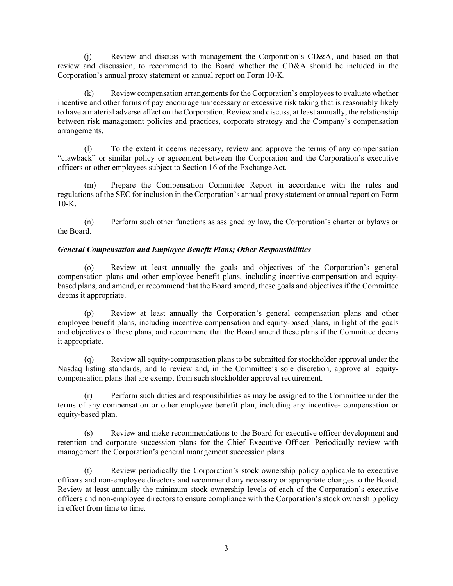(j) Review and discuss with management the Corporation's CD&A, and based on that review and discussion, to recommend to the Board whether the CD&A should be included in the Corporation's annual proxy statement or annual report on Form 10-K.

(k) Review compensation arrangements for the Corporation's employees to evaluate whether incentive and other forms of pay encourage unnecessary or excessive risk taking that is reasonably likely to have a material adverse effect on the Corporation. Review and discuss, at least annually, the relationship between risk management policies and practices, corporate strategy and the Company's compensation arrangements.

(l) To the extent it deems necessary, review and approve the terms of any compensation "clawback" or similar policy or agreement between the Corporation and the Corporation's executive officers or other employees subject to Section 16 of the Exchange Act.

(m) Prepare the Compensation Committee Report in accordance with the rules and regulations of the SEC for inclusion in the Corporation's annual proxy statement or annual report on Form  $10-K$ .

(n) Perform such other functions as assigned by law, the Corporation's charter or bylaws or the Board.

## *General Compensation and Employee Benefit Plans; Other Responsibilities*

(o) Review at least annually the goals and objectives of the Corporation's general compensation plans and other employee benefit plans, including incentive-compensation and equitybased plans, and amend, or recommend that the Board amend, these goals and objectives if the Committee deems it appropriate.

(p) Review at least annually the Corporation's general compensation plans and other employee benefit plans, including incentive-compensation and equity-based plans, in light of the goals and objectives of these plans, and recommend that the Board amend these plans if the Committee deems it appropriate.

(q) Review all equity-compensation plans to be submitted for stockholder approval under the Nasdaq listing standards, and to review and, in the Committee's sole discretion, approve all equitycompensation plans that are exempt from such stockholder approval requirement.

(r) Perform such duties and responsibilities as may be assigned to the Committee under the terms of any compensation or other employee benefit plan, including any incentive- compensation or equity-based plan.

(s) Review and make recommendations to the Board for executive officer development and retention and corporate succession plans for the Chief Executive Officer. Periodically review with management the Corporation's general management succession plans.

(t) Review periodically the Corporation's stock ownership policy applicable to executive officers and non-employee directors and recommend any necessary or appropriate changes to the Board. Review at least annually the minimum stock ownership levels of each of the Corporation's executive officers and non-employee directors to ensure compliance with the Corporation's stock ownership policy in effect from time to time.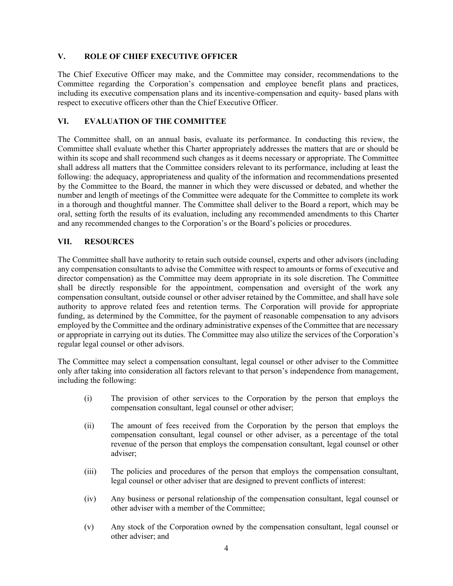## **V. ROLE OF CHIEF EXECUTIVE OFFICER**

The Chief Executive Officer may make, and the Committee may consider, recommendations to the Committee regarding the Corporation's compensation and employee benefit plans and practices, including its executive compensation plans and its incentive-compensation and equity- based plans with respect to executive officers other than the Chief Executive Officer.

## **VI. EVALUATION OF THE COMMITTEE**

The Committee shall, on an annual basis, evaluate its performance. In conducting this review, the Committee shall evaluate whether this Charter appropriately addresses the matters that are or should be within its scope and shall recommend such changes as it deems necessary or appropriate. The Committee shall address all matters that the Committee considers relevant to its performance, including at least the following: the adequacy, appropriateness and quality of the information and recommendations presented by the Committee to the Board, the manner in which they were discussed or debated, and whether the number and length of meetings of the Committee were adequate for the Committee to complete its work in a thorough and thoughtful manner. The Committee shall deliver to the Board a report, which may be oral, setting forth the results of its evaluation, including any recommended amendments to this Charter and any recommended changes to the Corporation's or the Board's policies or procedures.

## **VII. RESOURCES**

The Committee shall have authority to retain such outside counsel, experts and other advisors (including any compensation consultants to advise the Committee with respect to amounts or forms of executive and director compensation) as the Committee may deem appropriate in its sole discretion. The Committee shall be directly responsible for the appointment, compensation and oversight of the work any compensation consultant, outside counsel or other adviser retained by the Committee, and shall have sole authority to approve related fees and retention terms. The Corporation will provide for appropriate funding, as determined by the Committee, for the payment of reasonable compensation to any advisors employed by the Committee and the ordinary administrative expenses of the Committee that are necessary or appropriate in carrying out its duties. The Committee may also utilize the services of the Corporation's regular legal counsel or other advisors.

The Committee may select a compensation consultant, legal counsel or other adviser to the Committee only after taking into consideration all factors relevant to that person's independence from management, including the following:

- (i) The provision of other services to the Corporation by the person that employs the compensation consultant, legal counsel or other adviser;
- (ii) The amount of fees received from the Corporation by the person that employs the compensation consultant, legal counsel or other adviser, as a percentage of the total revenue of the person that employs the compensation consultant, legal counsel or other adviser;
- (iii) The policies and procedures of the person that employs the compensation consultant, legal counsel or other adviser that are designed to prevent conflicts of interest:
- (iv) Any business or personal relationship of the compensation consultant, legal counsel or other adviser with a member of the Committee;
- (v) Any stock of the Corporation owned by the compensation consultant, legal counsel or other adviser; and